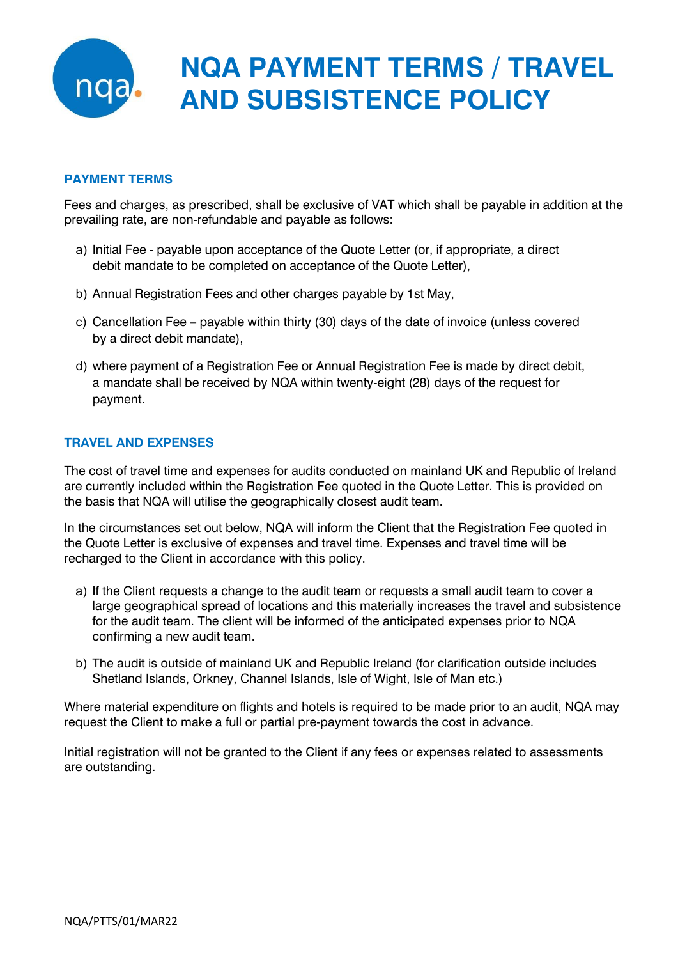

# **NQA PAYMENT TERMS / TRAVEL AND SUBSISTENCE POLICY**

# **PAYMENT TERMS**

Fees and charges, as prescribed, shall be exclusive of VAT which shall be payable in addition at the prevailing rate, are non-refundable and payable as follows:

- a) Initial Fee payable upon acceptance of the Quote Letter (or, if appropriate, a direct debit mandate to be completed on acceptance of the Quote Letter),
- b) Annual Registration Fees and other charges payable by 1st May,
- c) Cancellation Fee payable within thirty (30) days of the date of invoice (unless covered by a direct debit mandate),
- d) where payment of a Registration Fee or Annual Registration Fee is made by direct debit, a mandate shall be received by NQA within twenty-eight (28) days of the request for payment.

# **TRAVEL AND EXPENSES**

The cost of travel time and expenses for audits conducted on mainland UK and Republic of Ireland are currently included within the Registration Fee quoted in the Quote Letter. This is provided on the basis that NQA will utilise the geographically closest audit team.

In the circumstances set out below, NQA will inform the Client that the Registration Fee quoted in the Quote Letter is exclusive of expenses and travel time. Expenses and travel time will be recharged to the Client in accordance with this policy.

- a) If the Client requests a change to the audit team or requests a small audit team to cover a large geographical spread of locations and this materially increases the travel and subsistence for the audit team. The client will be informed of the anticipated expenses prior to NQA confirming a new audit team.
- b) The audit is outside of mainland UK and Republic Ireland (for clarification outside includes Shetland Islands, Orkney, Channel Islands, Isle of Wight, Isle of Man etc.)

Where material expenditure on flights and hotels is required to be made prior to an audit, NQA may request the Client to make a full or partial pre-payment towards the cost in advance.

Initial registration will not be granted to the Client if any fees or expenses related to assessments are outstanding.